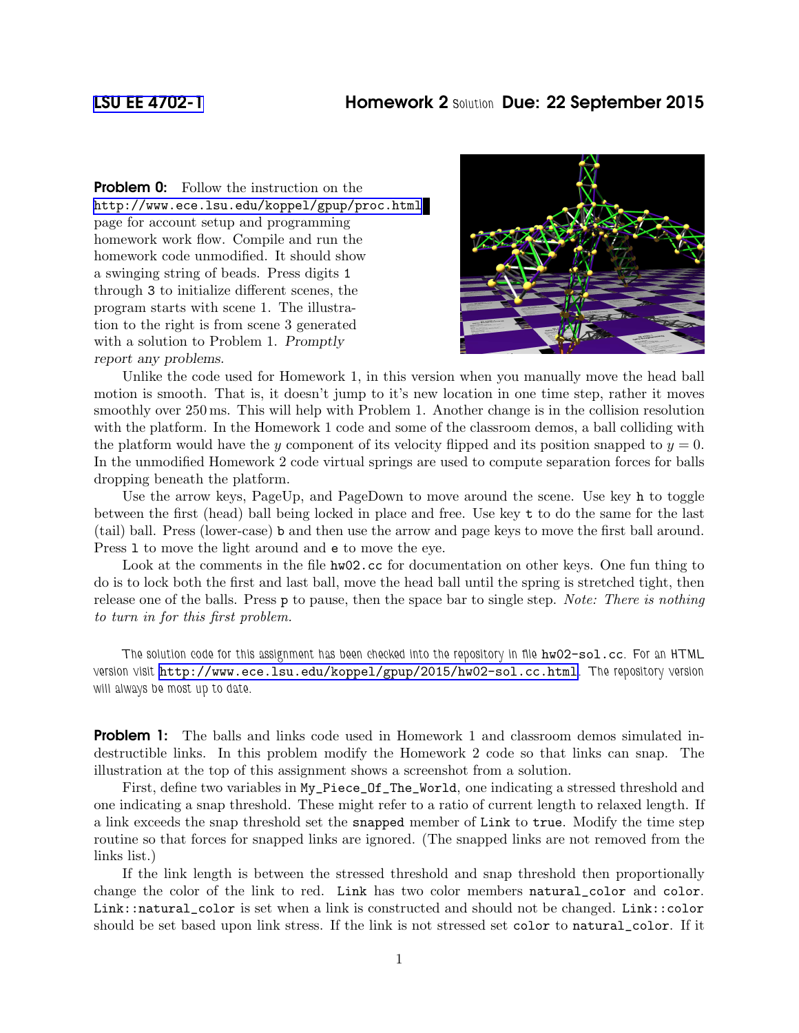**Problem 0:** Follow the instruction on the <http://www.ece.lsu.edu/koppel/gpup/proc.html> page for account setup and programming homework work flow. Compile and run the homework code unmodified. It should show a swinging string of beads. Press digits 1 through 3 to initialize different scenes, the program starts with scene 1. The illustration to the right is from scene 3 generated with a solution to Problem 1. Promptly report any problems.



Unlike the code used for Homework 1, in this version when you manually move the head ball motion is smooth. That is, it doesn't jump to it's new location in one time step, rather it moves smoothly over 250 ms. This will help with Problem 1. Another change is in the collision resolution with the platform. In the Homework 1 code and some of the classroom demos, a ball colliding with the platform would have the y component of its velocity flipped and its position snapped to  $y = 0$ . In the unmodified Homework 2 code virtual springs are used to compute separation forces for balls dropping beneath the platform.

Use the arrow keys, PageUp, and PageDown to move around the scene. Use key h to toggle between the first (head) ball being locked in place and free. Use key t to do the same for the last (tail) ball. Press (lower-case) b and then use the arrow and page keys to move the first ball around. Press l to move the light around and e to move the eye.

Look at the comments in the file  $h\text{w02}$ .cc for documentation on other keys. One fun thing to do is to lock both the first and last ball, move the head ball until the spring is stretched tight, then release one of the balls. Press p to pause, then the space bar to single step. Note: There is nothing to turn in for this first problem.

The solution code for this assignment has been checked into the repository in file  $hw02-sol.cc$ . For an HTML version visit <http://www.ece.lsu.edu/koppel/gpup/2015/hw02-sol.cc.html>. The repository version will always be most up to date.

**Problem 1:** The balls and links code used in Homework 1 and classroom demos simulated indestructible links. In this problem modify the Homework 2 code so that links can snap. The illustration at the top of this assignment shows a screenshot from a solution.

First, define two variables in My\_Piece\_Of\_The\_World, one indicating a stressed threshold and one indicating a snap threshold. These might refer to a ratio of current length to relaxed length. If a link exceeds the snap threshold set the snapped member of Link to true. Modify the time step routine so that forces for snapped links are ignored. (The snapped links are not removed from the links list.)

If the link length is between the stressed threshold and snap threshold then proportionally change the color of the link to red. Link has two color members natural\_color and color. Link::natural\_color is set when a link is constructed and should not be changed. Link::color should be set based upon link stress. If the link is not stressed set color to natural\_color. If it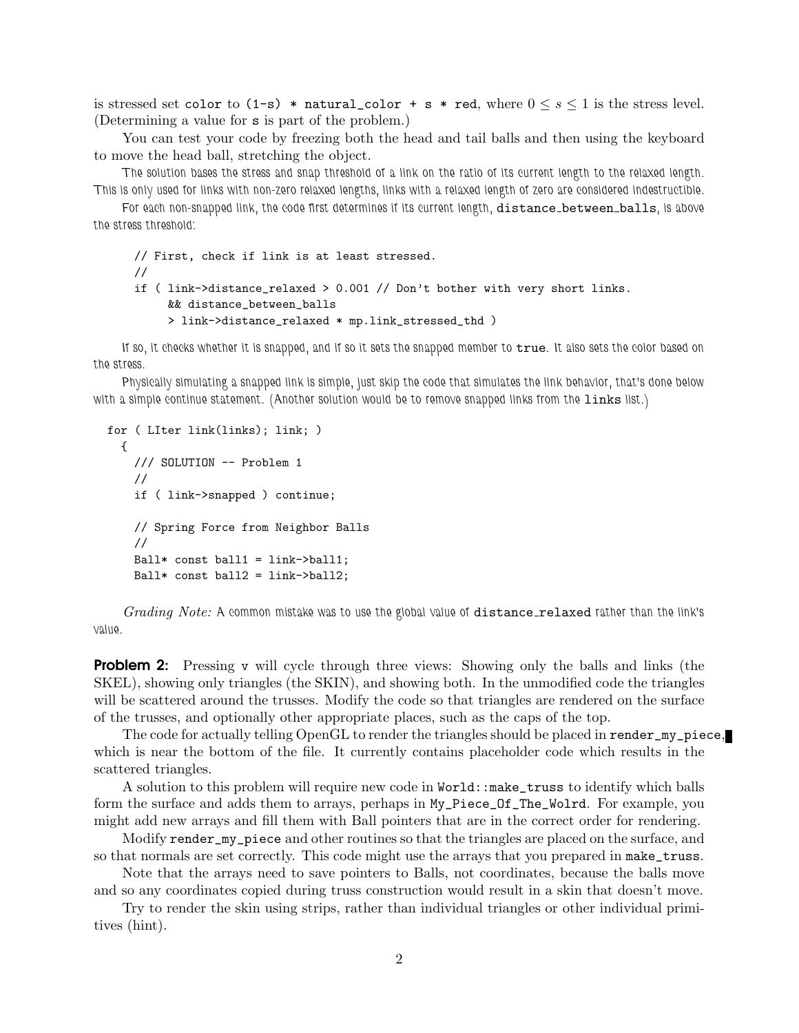is stressed set color to  $(1-s)$  \* natural\_color + s \* red, where  $0 \le s \le 1$  is the stress level. (Determining a value for s is part of the problem.)

You can test your code by freezing both the head and tail balls and then using the keyboard to move the head ball, stretching the object.

The solution bases the stress and snap threshold of a link on the ratio of its current length to the relaxed length. This is only used for links with non-zero relaxed lengths, links with a relaxed length of zero are considered indestructible.

For each non-snapped link, the code first determines if its current length, distance\_between\_balls, is above the stress threshold:

```
// First, check if link is at least stressed.
//
if ( link->distance_relaxed > 0.001 // Don't bother with very short links.
     && distance_between_balls
     > link->distance_relaxed * mp.link_stressed_thd )
```
If so, it checks whether it is snapped, and if so it sets the snapped member to  $true$ . It also sets the color based on the stress.

Physically simulating a snapped link is simple, just skip the code that simulates the link behavior, that's done below with a simple continue statement. (Another solution would be to remove snapped links from the links list.)

```
for ( LIter link(links); link; )
  {
    /// SOLUTION -- Problem 1
    //
    if ( link->snapped ) continue;
    // Spring Force from Neighbor Balls
    //
    Ball* const ball1 = link->ball1;
    Ball* const ball2 = link->ball2;
```
Grading Note: A common mistake was to use the global value of distance relaxed rather than the link's value.

**Problem 2:** Pressing v will cycle through three views: Showing only the balls and links (the SKEL), showing only triangles (the SKIN), and showing both. In the unmodified code the triangles will be scattered around the trusses. Modify the code so that triangles are rendered on the surface of the trusses, and optionally other appropriate places, such as the caps of the top.

The code for actually telling OpenGL to render the triangles should be placed in render\_my\_piece, which is near the bottom of the file. It currently contains placeholder code which results in the scattered triangles.

A solution to this problem will require new code in World::make\_truss to identify which balls form the surface and adds them to arrays, perhaps in My\_Piece\_Of\_The\_Wolrd. For example, you might add new arrays and fill them with Ball pointers that are in the correct order for rendering.

Modify render\_my\_piece and other routines so that the triangles are placed on the surface, and so that normals are set correctly. This code might use the arrays that you prepared in make\_truss.

Note that the arrays need to save pointers to Balls, not coordinates, because the balls move and so any coordinates copied during truss construction would result in a skin that doesn't move.

Try to render the skin using strips, rather than individual triangles or other individual primitives (hint).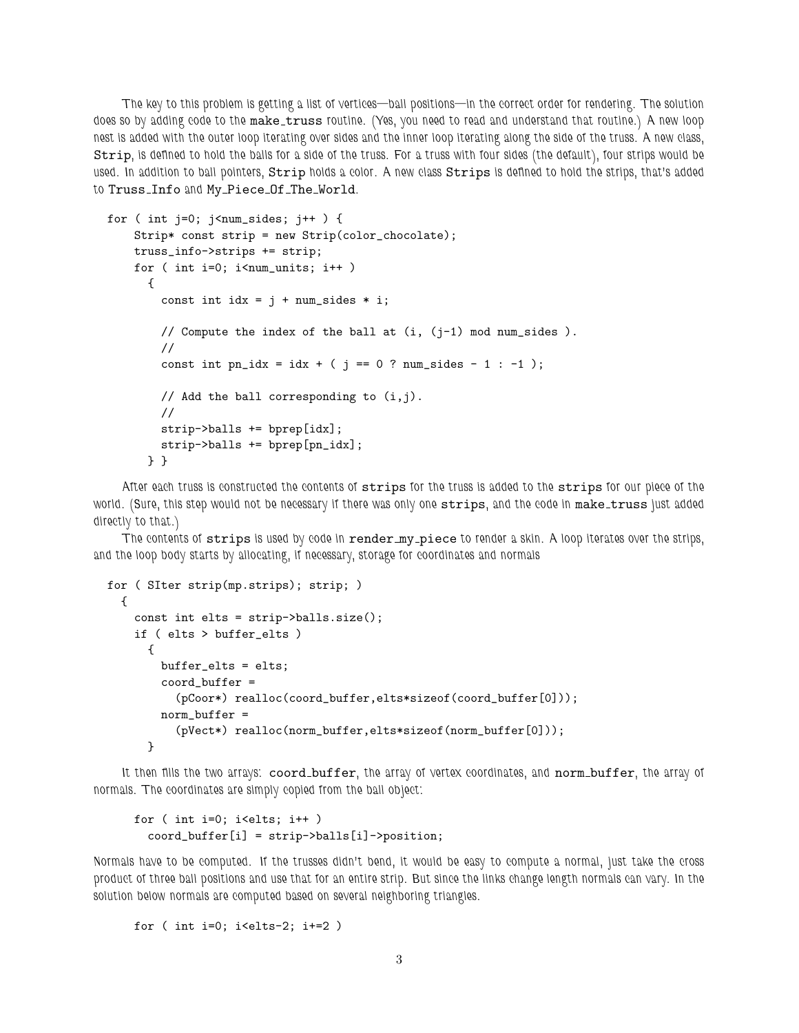The key to this problem is getting a list of vertices—ball positions—in the correct order for rendering. The solution does so by adding code to the make\_truss routine. (Yes, you need to read and understand that routine.) A new loop nest is added with the outer loop iterating over sides and the inner loop iterating along the side of the truss. A new class, Strip, is defined to hold the balls for a side of the truss. For a truss with four sides (the default), four strips would be used. In addition to ball pointers, Strip holds a color. A new class Strips is defined to hold the strips, that's added to Truss Info and My Piece Of The World.

```
for ( int j=0; j<num_sides; j++ ) {
   Strip* const strip = new Strip(color_chocolate);
    truss_info->strips += strip;
    for ( int i=0; i<num_units; i++ )
     {
        const int idx = j + num\_sides * i;// Compute the index of the ball at (i, (j-1) mod num_sides ).
        //
        const int pn_idx = idx + ( j == 0 ? num_sides - 1 : -1 );
       // Add the ball corresponding to (i, j).
        //
        strip->balls += bprep[idx];
        strip->balls += bprep[pn_idx];
     } }
```
After each truss is constructed the contents of strips for the truss is added to the strips for our piece of the world. (Sure, this step would not be necessary if there was only one strips, and the code in make\_truss just added directly to that.)

The contents of strips is used by code in render\_my\_piece to render a skin. A loop iterates over the strips, and the loop body starts by allocating, if necessary, storage for coordinates and normals

```
for ( SIter strip(mp.strips); strip; )
 {
   const int elts = strip->balls.size();
   if ( elts > buffer_elts )
     {
       buffer_elts = elts;
       coord_buffer =
          (pCoor*) realloc(coord_buffer,elts*sizeof(coord_buffer[0]));
       norm_buffer =
          (pVect*) realloc(norm_buffer,elts*sizeof(norm_buffer[0]));
     }
```
It then fills the two arrays: coord\_buffer, the array of vertex coordinates, and norm\_buffer, the array of normals. The coordinates are simply copied from the ball object:

```
for ( int i=0; i <elts; i++ )
 coord_buffer[i] = strip->balls[i]->position;
```
Normals have to be computed. If the trusses didn't bend, it would be easy to compute a normal, just take the cross product of three ball positions and use that for an entire strip. But since the links change length normals can vary. In the solution below normals are computed based on several neighboring triangles.

for ( int  $i=0$ ;  $i$  <elts-2;  $i+=2$  )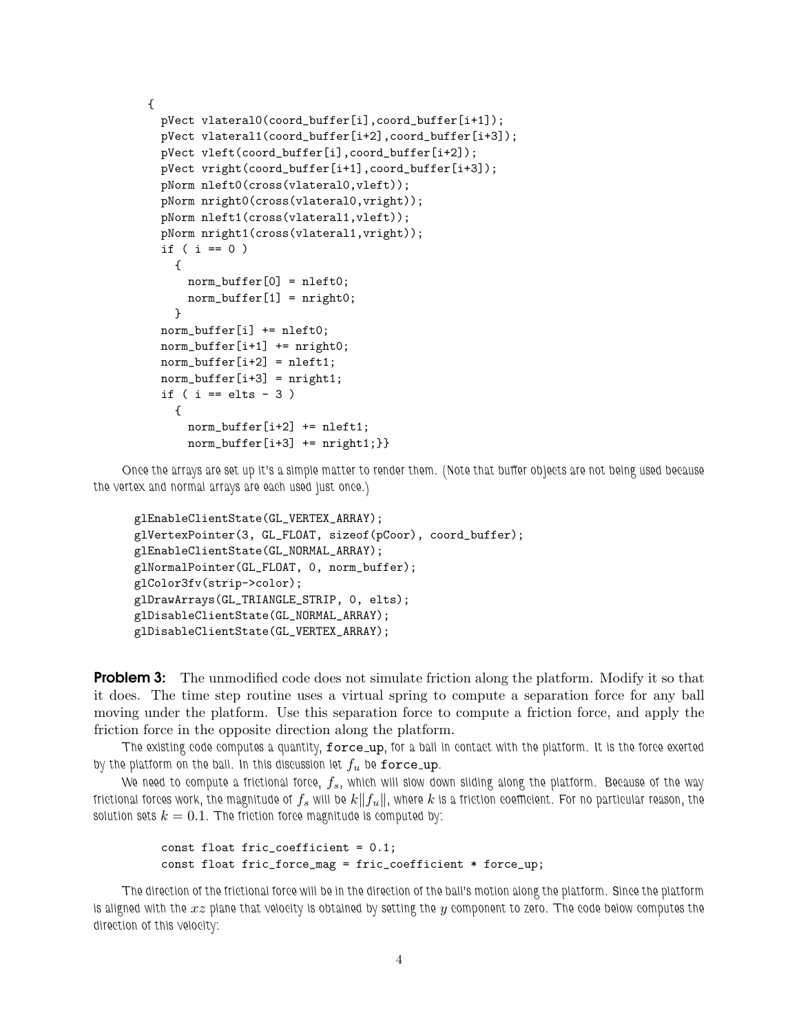```
{
  pVect vlateral0(coord_buffer[i],coord_buffer[i+1]);
  pVect vlateral1(coord_buffer[i+2],coord_buffer[i+3]);
  pVect vleft(coord_buffer[i],coord_buffer[i+2]);
  pVect vright(coord_buffer[i+1],coord_buffer[i+3]);
  pNorm nleft0(cross(vlateral0,vleft));
  pNorm nright0(cross(vlateral0,vright));
  pNorm nleft1(cross(vlateral1,vleft));
  pNorm nright1(cross(vlateral1, vright));
  if ( i == 0 )
    {
      norm\_buffer[0] = nleft0;norm\_buffer[1] = nright0;}
  norm_buffer[i] += nleft0;
  norm\_buffer[i+1] += nright0;norm\_buffer[i+2] = nleft1;norm\_buffer[i+3] = nright1;if ( i == elts - 3 )
    {
      norm\_buffer[i+2] += nleft1;norm_buffer[i+3] += nright1;}}
```
Once the arrays are set up it's a simple matter to render them. (Note that buffer objects are not being used because the vertex and normal arrays are each used just once.)

```
glEnableClientState(GL_VERTEX_ARRAY);
glVertexPointer(3, GL_FLOAT, sizeof(pCoor), coord_buffer);
glEnableClientState(GL_NORMAL_ARRAY);
glNormalPointer(GL_FLOAT, 0, norm_buffer);
glColor3fv(strip->color);
glDrawArrays(GL_TRIANGLE_STRIP, 0, elts);
glDisableClientState(GL_NORMAL_ARRAY);
glDisableClientState(GL_VERTEX_ARRAY);
```
**Problem 3:** The unmodified code does not simulate friction along the platform. Modify it so that it does. The time step routine uses a virtual spring to compute a separation force for any ball moving under the platform. Use this separation force to compute a friction force, and apply the friction force in the opposite direction along the platform.

The existing code computes a quantity, force\_up, for a ball in contact with the platform. It is the force exerted by the platform on the ball. In this discussion let  $f_u$  be force up.

We need to compute a frictional force,  $f_s$ , which will slow down sliding along the platform. Because of the way frictional forces work, the magnitude of  $f_s$  will be  $k||f_u||$ , where  $k$  is a friction coefficient. For no particular reason, the solution sets  $k = 0.1$ . The friction force magnitude is computed by:

```
const float fric_coefficient = 0.1;
const float fric_force_mag = fric_coefficient * force_up;
```
The direction of the frictional force will be in the direction of the ball's motion along the platform. Since the platform is aligned with the  $xz$  plane that velocity is obtained by setting the y component to zero. The code below computes the direction of this velocity: